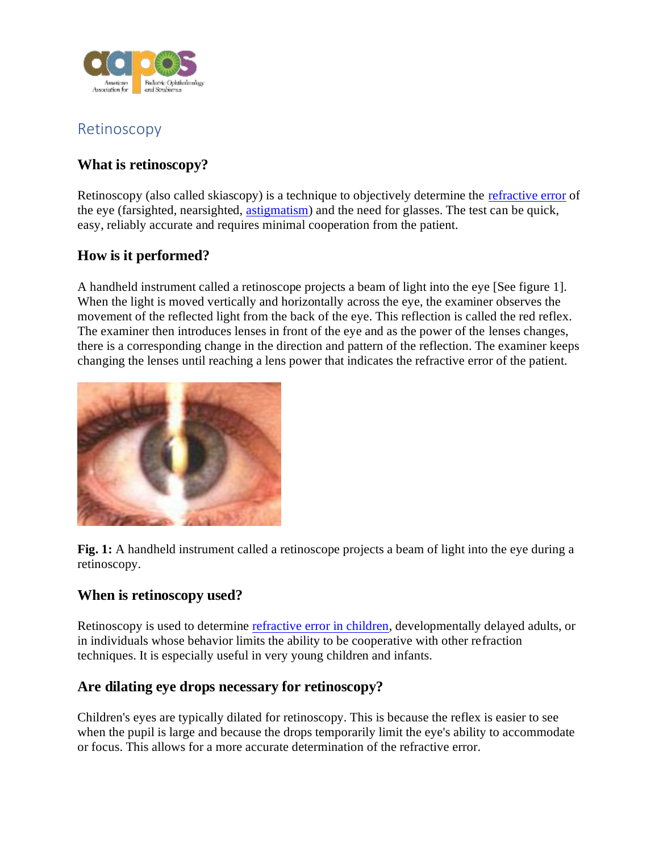

# Retinoscopy

# **What is retinoscopy?**

Retinoscopy (also called skiascopy) is a technique to objectively determine the [refractive error](https://aapos.org/glossary/refractive-errors-in-children) of the eye (farsighted, nearsighted, [astigmatism\)](https://aapos.org/glossary/astigmatism) and the need for glasses. The test can be quick, easy, reliably accurate and requires minimal cooperation from the patient.

### **How is it performed?**

A handheld instrument called a retinoscope projects a beam of light into the eye [See figure 1]. When the light is moved vertically and horizontally across the eye, the examiner observes the movement of the reflected light from the back of the eye. This reflection is called the red reflex. The examiner then introduces lenses in front of the eye and as the power of the lenses changes, there is a corresponding change in the direction and pattern of the reflection. The examiner keeps changing the lenses until reaching a lens power that indicates the refractive error of the patient.



**Fig. 1:** A handheld instrument called a retinoscope projects a beam of light into the eye during a retinoscopy.

#### **When is retinoscopy used?**

Retinoscopy is used to determine [refractive error in children,](https://aapos.org/glossary/refractive-errors-in-children) developmentally delayed adults, or in individuals whose behavior limits the ability to be cooperative with other refraction techniques. It is especially useful in very young children and infants.

## **Are dilating eye drops necessary for retinoscopy?**

Children's eyes are typically dilated for retinoscopy. This is because the reflex is easier to see when the pupil is large and because the drops temporarily limit the eye's ability to accommodate or focus. This allows for a more accurate determination of the refractive error.